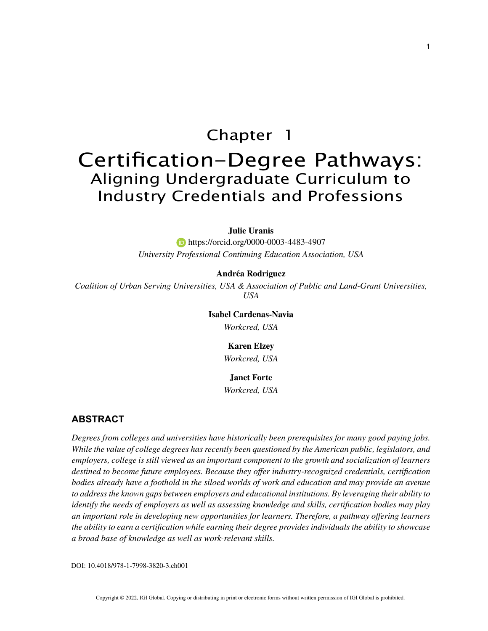# Chapter 1

# Certification-Degree Pathways: Aligning Undergraduate Curriculum to Industry Credentials and Professions

#### **Julie Uranis**

 https://orcid.org/0000-0003-4483-4907 *University Professional Continuing Education Association, USA*

## **Andréa Rodriguez**

*Coalition of Urban Serving Universities, USA & Association of Public and Land-Grant Universities, USA*

> **Isabel Cardenas-Navia** *Workcred, USA*

## **Karen Elzey**

*Workcred, USA*

### **Janet Forte**

*Workcred, USA*

## **ABSTRACT**

*Degrees from colleges and universities have historically been prerequisites for many good paying jobs. While the value of college degrees has recently been questioned by the American public, legislators, and employers, college is still viewed as an important component to the growth and socialization of learners destined to become future employees. Because they offer industry-recognized credentials, certification*  bodies already have a foothold in the siloed worlds of work and education and may provide an avenue *to address the known gaps between employers and educational institutions. By leveraging their ability to identify the needs of employers as well as assessing knowledge and skills, certification bodies may play an important role in developing new opportunities for learners. Therefore, a pathway offering learners the ability to earn a certification while earning their degree provides individuals the ability to showcase a broad base of knowledge as well as work-relevant skills.*

DOI: 10.4018/978-1-7998-3820-3.ch001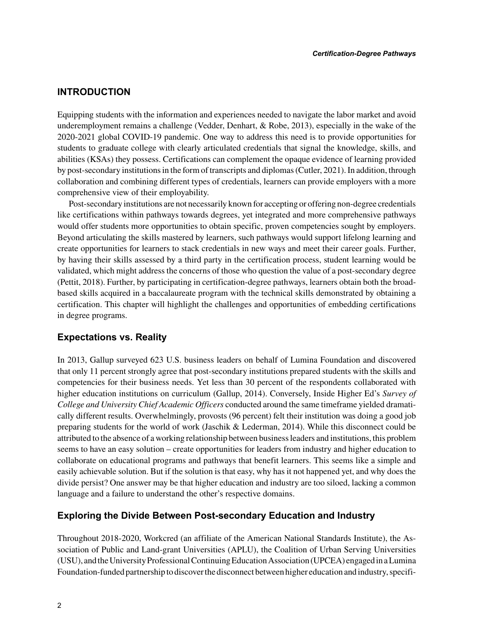# **INTRODUCTION**

Equipping students with the information and experiences needed to navigate the labor market and avoid underemployment remains a challenge (Vedder, Denhart, & Robe, 2013), especially in the wake of the 2020-2021 global COVID-19 pandemic. One way to address this need is to provide opportunities for students to graduate college with clearly articulated credentials that signal the knowledge, skills, and abilities (KSAs) they possess. Certifications can complement the opaque evidence of learning provided by post-secondary institutions in the form of transcripts and diplomas (Cutler, 2021). In addition, through collaboration and combining different types of credentials, learners can provide employers with a more comprehensive view of their employability.

Post-secondary institutions are not necessarily known for accepting or offering non-degree credentials like certifications within pathways towards degrees, yet integrated and more comprehensive pathways would offer students more opportunities to obtain specific, proven competencies sought by employers. Beyond articulating the skills mastered by learners, such pathways would support lifelong learning and create opportunities for learners to stack credentials in new ways and meet their career goals. Further, by having their skills assessed by a third party in the certification process, student learning would be validated, which might address the concerns of those who question the value of a post-secondary degree (Pettit, 2018). Further, by participating in certification-degree pathways, learners obtain both the broadbased skills acquired in a baccalaureate program with the technical skills demonstrated by obtaining a certification. This chapter will highlight the challenges and opportunities of embedding certifications in degree programs.

# **Expectations vs. Reality**

In 2013, Gallup surveyed 623 U.S. business leaders on behalf of Lumina Foundation and discovered that only 11 percent strongly agree that post-secondary institutions prepared students with the skills and competencies for their business needs. Yet less than 30 percent of the respondents collaborated with higher education institutions on curriculum (Gallup, 2014). Conversely, Inside Higher Ed's *Survey of College and University Chief Academic Officers* conducted around the same timeframe yielded dramatically different results. Overwhelmingly, provosts (96 percent) felt their institution was doing a good job preparing students for the world of work (Jaschik & Lederman, 2014). While this disconnect could be attributed to the absence of a working relationship between business leaders and institutions, this problem seems to have an easy solution – create opportunities for leaders from industry and higher education to collaborate on educational programs and pathways that benefit learners. This seems like a simple and easily achievable solution. But if the solution is that easy, why has it not happened yet, and why does the divide persist? One answer may be that higher education and industry are too siloed, lacking a common language and a failure to understand the other's respective domains.

## **Exploring the Divide Between Post-secondary Education and Industry**

Throughout 2018-2020, Workcred (an affiliate of the American National Standards Institute), the Association of Public and Land-grant Universities (APLU), the Coalition of Urban Serving Universities (USU), and the University Professional Continuing Education Association (UPCEA) engaged in a Lumina Foundation-funded partnership to discover the disconnect between higher education and industry, specifi